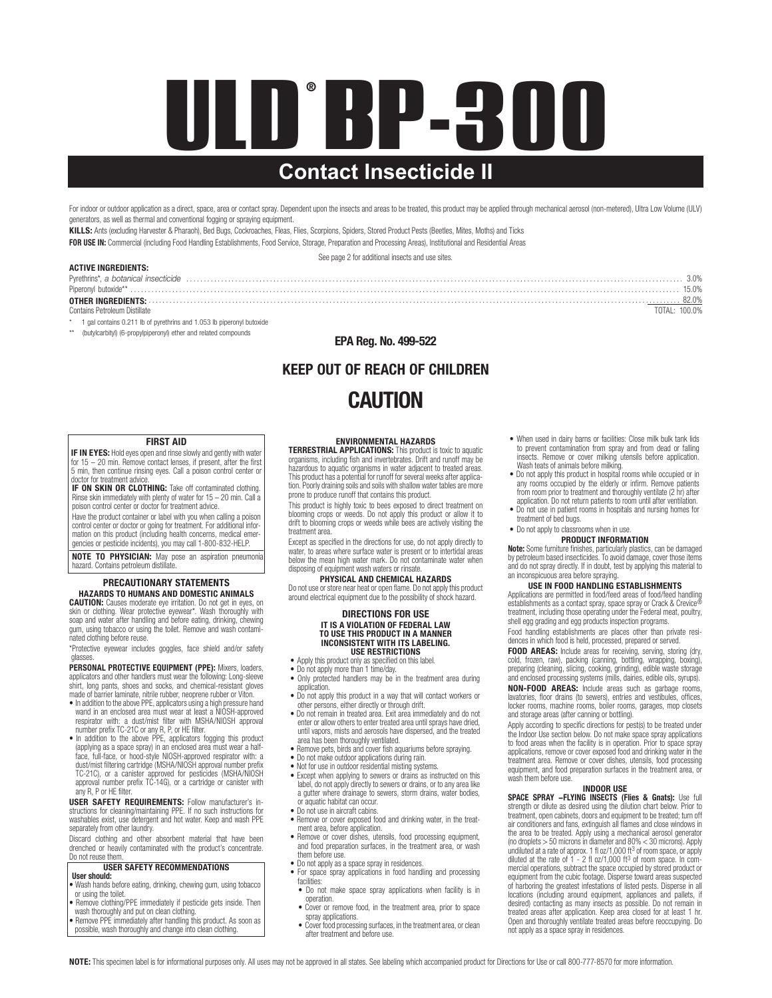# **ULD BP-300 Contact Insecticide II** ®

For indoor or outdoor application as a direct, space, area or contact spray. Dependent upon the insects and areas to be treated, this product may be applied through mechanical aerosol (non-metered), Ultra Low Volume (ULV) generators, as well as thermal and conventional fogging or spraying equipment.

KILLS: Ants (excluding Harvester & Pharaoh), Bed Bugs, Cockroaches, Fleas, Flies, Scorpions, Spiders, Stored Product Pests (Beetles, Mites, Moths) and Ticks FOR USE IN: Commercial (including Food Handling Establishments, Food Service, Storage, Preparation and Processing Areas), Institutional and Residential Areas

See page 2 for additional insects and use sites.

#### ACTIVE INGREDIENTS:

| AVIIVE INVILEDIENTU.                   |       |
|----------------------------------------|-------|
| Pyrethrins*, a botanical insecticide   |       |
| Piperonyl butoxide*                    | i5.0% |
|                                        | 82.0% |
| Contains Petroleum Distillate<br>(114) |       |

\* 1 gal contains 0.211 lb of pyrethrins and 1.053 lb piperonyl butoxide

(butylcarbityl) (6-propylpiperonyl) ether and related compounds

#### EPA Reg. No. 499-522

# KEEP OUT OF REACH OF CHILDREN **CAUTION**

#### FIRST AID

**IF IN EYES:** Hold eyes open and rinse slowly and gently with water for 15 − 20 min. Remove contact lenses, if present, after the first 5 min, then continue rinsing eyes. Call a poison control center or ctor for treatment advice.

**IF ON SKIN OR CLOTHING:** Take off contaminated clothing. Rinse skin immediately with plenty of water for 15 – 20 min. Call a poison control center or doctor for treatment advice.

Have the product container or label with you when calling a poison control center or doctor or going for treatment. For additional information on this product (including health concerns, medical emer-gencies or pesticide incidents), you may call 1-800-832-HELP.

NOTE TO PHYSICIAN: May pose an aspiration pneumonia hazard. Contains petroleum distillate.

#### PRECAUTIONARY STATEMENTS HAZARDS TO HUMANS AND DOMESTIC ANIMALS

CAUTION: Causes moderate eye irritation. Do not get in eyes, on skin or clothing. Wear protective eyewear\*. Wash thoroughly with soap and water after handling and before eating, drinking, chewing gum, using tobacco or using the toilet. Remove and wash contaminated clothing before reuse.

\*Protective eyewear includes goggles, face shield and/or safety glasses.

PERSONAL PROTECTIVE EQUIPMENT (PPE): Mixers, loaders, applicators and other handlers must wear the following: Long-sleeve shirt, long pants, shoes and socks, and chemical-resistant gloves made of barrier laminate, nitrile rubber, neoprene rubber or Viton. • In addition to the above PPE, applicators using a high pressure hand

- wand in an enclosed area must wear at least a NIOSH-approved respirator with: a dust/mist filter with MSHA/NIOSH approval number prefix TC-21C or any R, P, or HE filter.
- In addition to the above PPE, applicators fogging this product (applying as a space spray) in an enclosed area must wear a half-face, full-face, or hood-style NIOSH-approved respirator with: a dust/mist filtering cartridge (MSHA/NIOSH approval number prefix TC-21C), or a canister approved for pesticides (MSHA/NIOSH approval number prefix TC-14G), or a cartridge or canister with any R, P or HE filter.

USER SAFETY REQUIREMENTS: Follow manufacturer's in-structions for cleaning/maintaining PPE. If no such instructions for washables exist, use detergent and hot water. Keep and wash PPE separately from other laundry.

Discard clothing and other absorbent material that have been drenched or heavily contaminated with the product's concentrate. Do not reuse them

#### USER SAFETY RECOMMENDATIONS User should:

- Wash hands before eating, drinking, chewing gum, using tobacco
- or using the toilet. Remove clothing/PPE immediately if pesticide gets inside. Then
- 
- wash thoroughly and put on clean clothing. Remove PPE immediately after handling this product. As soon as possible, wash thoroughly and change into clean clothing.

**ENVIRONMENTAL HAZARDS**<br>**TERRESTRIAL APPLICATIONS:** This product is toxic to aquatic<br>organisms, including fish and invertebrates. Drift and runoff may be hazardous to aquatic organisms in water adjacent to treated areas. This product has a potential for runoff for several weeks after application. Poorly draining soils and soils with shallow water tables are more prone to produce runoff that contains this product.

This product is highly toxic to bees exposed to direct treatment on blooming crops or weeds. Do not apply this product or allow it to drift to blooming crops or weeds while bees are actively visiting the treatment area.

Except as specified in the directions for use, do not apply directly to water, to areas where surface water is present or to intertidal areas below the mean high water mark. Do not contaminate water when disposing of equipment wash waters or rinsate.

#### PHYSICAL AND CHEMICAL HAZARDS

Do not use or store near heat or open flame. Do not apply this product around electrical equipment due to the possibility of shock hazard.

#### DIRECTIONS FOR USE IT IS A VIOLATION OF FEDERAL LAW TO USE THIS PRODUCT IN A MANNER INCONSISTENT WITH ITS LABELING. USE RESTRICTIONS

- Apply this product only as specified on this label.
- Do not apply more than 1 time/day.
- Only protected handlers may be in the treatment area during application.
- Do not apply this product in a way that will contact workers or other persons, either directly or through drift.
- Do not remain in treated area. Exit area immediately and do not enter or allow others to enter treated area until sprays have dried, until vapors, mists and aerosols have dispersed, and the treated area has been thoroughly ventilated.
- Remove pets, birds and cover fish aquariums before spraying.
- 
- 
- Do not make outdoor applications during rain. Not for use in outdoor residential misting systems. Except when applying to sewers or drains as instructed on this label, do not apply directly to sewers or drains, or to any area like a gutter where drainage to sewers, storm drains, water bodies, or aquatic habitat can occur.
- 
- Do not use in aircraft cabins. Remove or cover exposed food and drinking water, in the treatment area, before application.
- Remove or cover dishes, utensils, food processing equipment, and food preparation surfaces, in the treatment area, or wash them before use.
- 
- Do not apply as a space spray in residences. For space spray applications in food handling and processing facilities: • Do not make space spray applications when facility is in
- operation. • Cover or remove food, in the treatment area, prior to space
- spray applications. Cover food processing surfaces, in the treatment area, or clean after treatment and before use.
- When used in dairy barns or facilities: Close milk bulk tank lids to prevent contamination from spray and from dead or falling insects. Remove or cover milking utensils before application. Wash teats of animals before milking.
- Do not apply this product in hospital rooms while occupied or in any rooms occupied by the elderly or infirm. Remove patients from room prior to treatment and thoroughly ventilate (2 hr) after
- application. Do not return patients to room until after ventilation. • Do not use in patient rooms in hospitals and nursing homes for treatment of bed bugs.
- Do not apply to classrooms when in use.

#### PRODUCT INFORMATION

Note: Some furniture finishes, particularly plastics, can be damaged by petroleum based insecticides. To avoid damage, cover those items and do not spray directly. If in doubt, test by applying this material to an inconspicuous area before spraying.

#### USE IN FOOD HANDLING ESTABLISHMENTS

Applications are permitted in food/feed areas of food/feed handling establishments as a contact spray, space spray or Crack & Crevice® treatment, including those operating under the Federal meat, poultry, shell egg grading and egg products inspection programs.

Food handling establishments are places other than private residences in which food is held, processed, prepared or served.

FOOD AREAS: Include areas for receiving, serving, storing (dry, cold, frozen, raw), packing (canning, bottling, wrapping, boxing),<br>preparing (cleaning, slicing, cooking, grinding), edible waste storage<br>and enclosed processing systems (mills, dairies, edible oils, syrups).

NON-FOOD AREAS: Include areas such as garbage rooms, lavatories, floor drains (to sewers), entries and vestibules, offices, locker rooms, machine rooms, boiler rooms, garages, mop closets and storage areas (after canning or bottling).

Apply according to specific directions for pest(s) to be treated under the Indoor Use section below. Do not make space spray applications to food areas when the facility is in operation. Prior to space spray applications, remove or cover exposed food and drinking water in the treatment area. Remove or cover dishes, utensils, food processing equipment, and food preparation surfaces in the treatment area, or wash them before use.

#### INDOOR USE

SPACE SPRAY -FLYING INSECTS (Flies & Gnats): Use full strength or dilute as desired using the dilution chart below. Prior to treatment, open cabinets, doors and equipment to be treated; turn off air conditioners and fans, extinguish all flames and close windows in the area to be treated. Apply using a mechanical aerosol generator<br>(no droplets > 50 microns in diameter and 80% < 30 microns). Apply<br>undiluted at a rate of aprox. 1 floz/1,000 ft<sup>3</sup> of room space, or apply<br>diluted at the equipment from the cubic footage. Disperse toward areas suspected of harboring the greatest infestations of listed pests. Disperse in all locations (including around equipment, appliances and pallets, if desired) contacting as many insects as possible. Do not remain in treated areas after application. Keep area closed for at least 1 hr. Open and thoroughly ventilate treated areas before reoccupying. Do not apply as a space spray in residences.